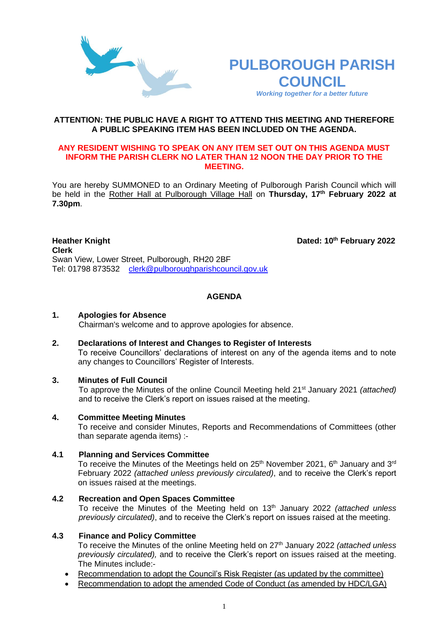



**th February 2022**

#### **ATTENTION: THE PUBLIC HAVE A RIGHT TO ATTEND THIS MEETING AND THEREFORE A PUBLIC SPEAKING ITEM HAS BEEN INCLUDED ON THE AGENDA.**

#### **ANY RESIDENT WISHING TO SPEAK ON ANY ITEM SET OUT ON THIS AGENDA MUST INFORM THE PARISH CLERK NO LATER THAN 12 NOON THE DAY PRIOR TO THE MEETING.**

You are hereby SUMMONED to an Ordinary Meeting of Pulborough Parish Council which will be held in the Rother Hall at Pulborough Village Hall on **Thursday, 17 th February 2022 at 7.30pm**.

**Heather Knight Clerk**  Swan View, Lower Street, Pulborough, RH20 2BF Tel: 01798 873532 [clerk@pulboroughparishcouncil.gov.uk](mailto:clerk@pulboroughparishcouncil.gov.uk)

### **AGENDA**

### **1. Apologies for Absence**

Chairman's welcome and to approve apologies for absence.

# **2. Declarations of Interest and Changes to Register of Interests**

To receive Councillors' declarations of interest on any of the agenda items and to note any changes to Councillors' Register of Interests.

#### **3. Minutes of Full Council**

To approve the Minutes of the online Council Meeting held 21st January 2021 *(attached)*  and to receive the Clerk's report on issues raised at the meeting.

### **4. Committee Meeting Minutes**

To receive and consider Minutes, Reports and Recommendations of Committees (other than separate agenda items) :-

# **4.1 Planning and Services Committee**

To receive the Minutes of the Meetings held on 25<sup>th</sup> November 2021, 6<sup>th</sup> January and 3<sup>rd</sup> February 2022 *(attached unless previously circulated)*, and to receive the Clerk's report on issues raised at the meetings.

**4.2 Recreation and Open Spaces Committee**

To receive the Minutes of the Meeting held on 13 th January 2022 *(attached unless previously circulated)*, and to receive the Clerk's report on issues raised at the meeting.

# **4.3 Finance and Policy Committee**

To receive the Minutes of the online Meeting held on 27 th January 2022 *(attached unless previously circulated),* and to receive the Clerk's report on issues raised at the meeting. The Minutes include:-

- Recommendation to adopt the Council's Risk Register (as updated by the committee)
- Recommendation to adopt the amended Code of Conduct (as amended by HDC/LGA)